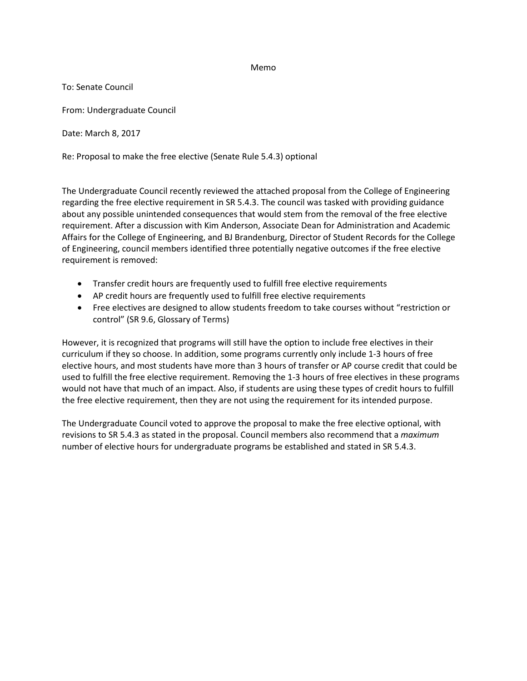## Memo

To: Senate Council

From: Undergraduate Council

Date: March 8, 2017

Re: Proposal to make the free elective (Senate Rule 5.4.3) optional

The Undergraduate Council recently reviewed the attached proposal from the College of Engineering regarding the free elective requirement in SR 5.4.3. The council was tasked with providing guidance about any possible unintended consequences that would stem from the removal of the free elective requirement. After a discussion with Kim Anderson, Associate Dean for Administration and Academic Affairs for the College of Engineering, and BJ Brandenburg, Director of Student Records for the College of Engineering, council members identified three potentially negative outcomes if the free elective requirement is removed:

- Transfer credit hours are frequently used to fulfill free elective requirements
- AP credit hours are frequently used to fulfill free elective requirements
- Free electives are designed to allow students freedom to take courses without "restriction or control" (SR 9.6, Glossary of Terms)

However, it is recognized that programs will still have the option to include free electives in their curriculum if they so choose. In addition, some programs currently only include 1-3 hours of free elective hours, and most students have more than 3 hours of transfer or AP course credit that could be used to fulfill the free elective requirement. Removing the 1-3 hours of free electives in these programs would not have that much of an impact. Also, if students are using these types of credit hours to fulfill the free elective requirement, then they are not using the requirement for its intended purpose.

The Undergraduate Council voted to approve the proposal to make the free elective optional, with revisions to SR 5.4.3 as stated in the proposal. Council members also recommend that a *maximum* number of elective hours for undergraduate programs be established and stated in SR 5.4.3.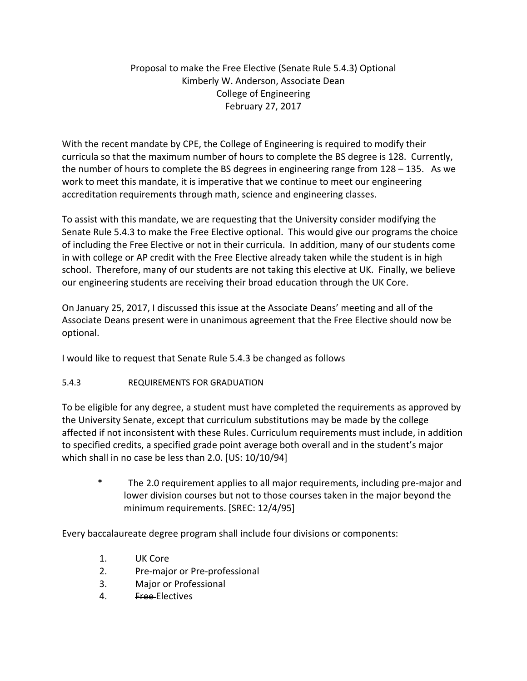## Proposal to make the Free Elective (Senate Rule 5.4.3) Optional Kimberly W. Anderson, Associate Dean College of Engineering February 27, 2017

With the recent mandate by CPE, the College of Engineering is required to modify their curricula so that the maximum number of hours to complete the BS degree is 128. Currently, the number of hours to complete the BS degrees in engineering range from 128 – 135. As we work to meet this mandate, it is imperative that we continue to meet our engineering accreditation requirements through math, science and engineering classes.

To assist with this mandate, we are requesting that the University consider modifying the Senate Rule 5.4.3 to make the Free Elective optional. This would give our programs the choice of including the Free Elective or not in their curricula. In addition, many of our students come in with college or AP credit with the Free Elective already taken while the student is in high school. Therefore, many of our students are not taking this elective at UK. Finally, we believe our engineering students are receiving their broad education through the UK Core.

On January 25, 2017, I discussed this issue at the Associate Deans' meeting and all of the Associate Deans present were in unanimous agreement that the Free Elective should now be optional.

I would like to request that Senate Rule 5.4.3 be changed as follows

## 5.4.3 REQUIREMENTS FOR GRADUATION

To be eligible for any degree, a student must have completed the requirements as approved by the University Senate, except that curriculum substitutions may be made by the college affected if not inconsistent with these Rules. Curriculum requirements must include, in addition to specified credits, a specified grade point average both overall and in the student's major which shall in no case be less than 2.0. [US: 10/10/94]

\* The 2.0 requirement applies to all major requirements, including pre‐major and lower division courses but not to those courses taken in the major beyond the minimum requirements. [SREC: 12/4/95]

Every baccalaureate degree program shall include four divisions or components:

- 1. UK Core
- 2. Pre-major or Pre-professional
- 3. Major or Professional
- 4. Free-Electives